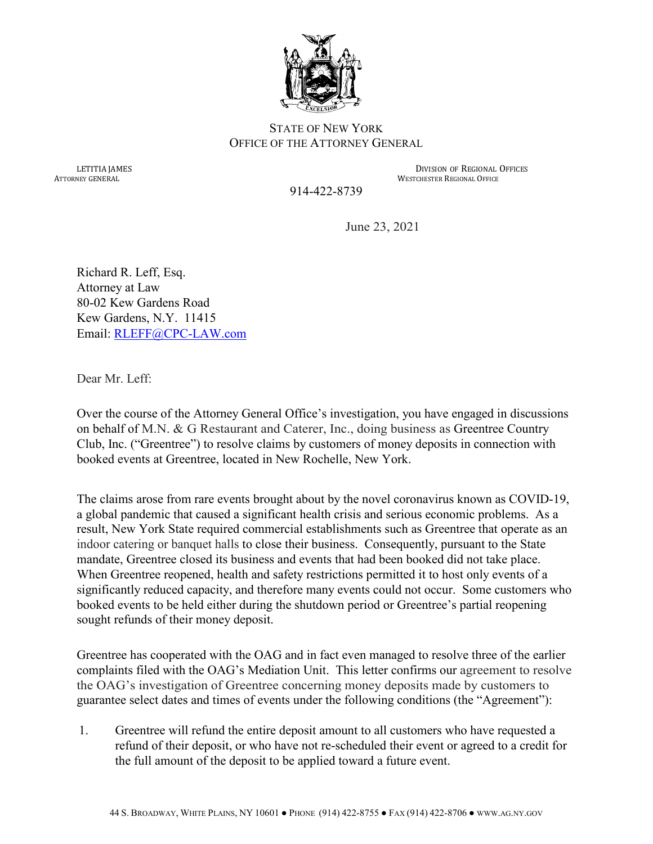

## STATE OF NEW YORK OFFICE OF THE ATTORNEY GENERAL

LETITIA JAMES DIVISION OF REGIONAL OFFICES<br>ATTORNEY GENERAL AND STREAM DIVISION OF REGIONAL OFFICES **WESTCHESTER REGIONAL OFFICE** 

914-422-8739

June 23, 2021

Richard R. Leff, Esq. Attorney at Law 80-02 Kew Gardens Road Kew Gardens, N.Y. 11415 Email: RLEFF@CPC-LAW.com

Dear Mr. Leff:

Over the course of the Attorney General Office's investigation, you have engaged in discussions on behalf of M.N. & G Restaurant and Caterer, Inc., doing business as Greentree Country Club, Inc. ("Greentree") to resolve claims by customers of money deposits in connection with booked events at Greentree, located in New Rochelle, New York.

The claims arose from rare events brought about by the novel coronavirus known as COVID-19, a global pandemic that caused a significant health crisis and serious economic problems. As a result, New York State required commercial establishments such as Greentree that operate as an indoor catering or banquet halls to close their business. Consequently, pursuant to the State mandate, Greentree closed its business and events that had been booked did not take place. When Greentree reopened, health and safety restrictions permitted it to host only events of a significantly reduced capacity, and therefore many events could not occur. Some customers who booked events to be held either during the shutdown period or Greentree's partial reopening sought refunds of their money deposit.

Greentree has cooperated with the OAG and in fact even managed to resolve three of the earlier complaints filed with the OAG's Mediation Unit. This letter confirms our agreement to resolve the OAG's investigation of Greentree concerning money deposits made by customers to guarantee select dates and times of events under the following conditions (the "Agreement"):

1. Greentree will refund the entire deposit amount to all customers who have requested a refund of their deposit, or who have not re-scheduled their event or agreed to a credit for the full amount of the deposit to be applied toward a future event.